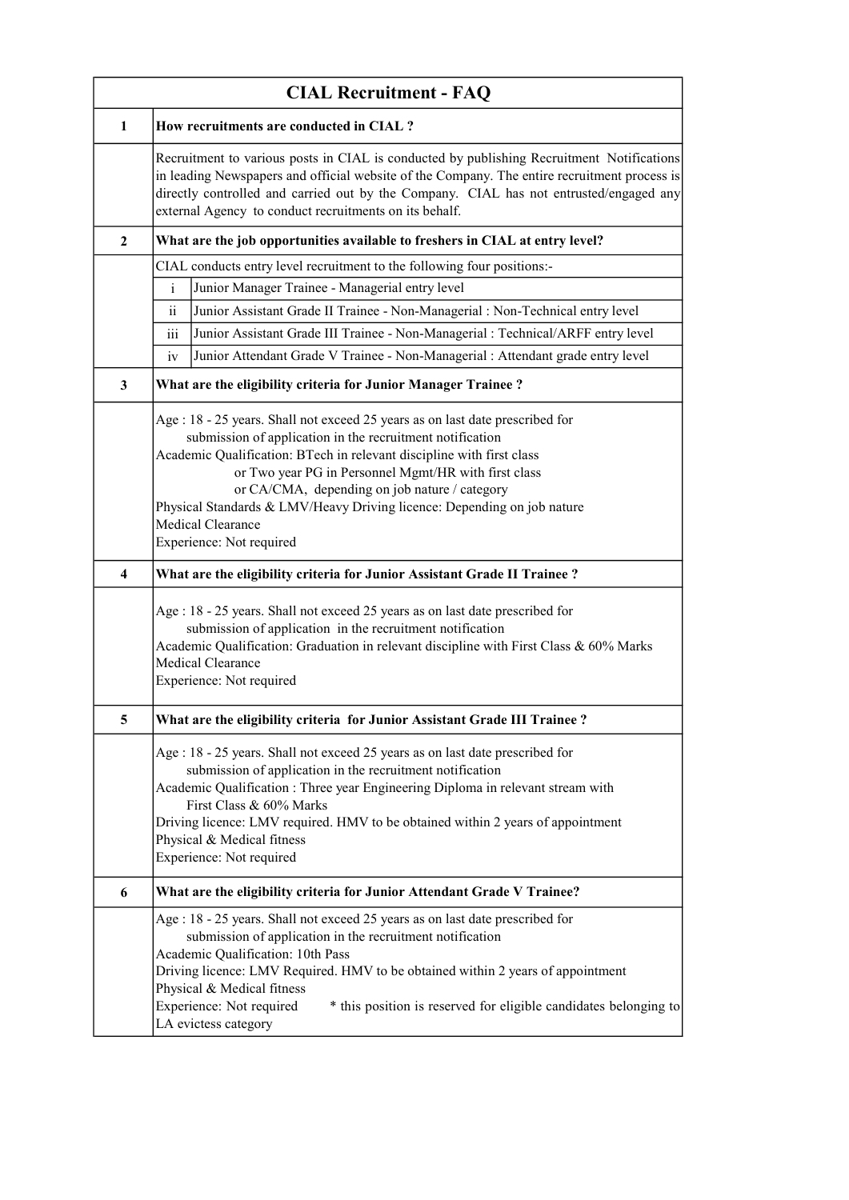| <b>CIAL Recruitment - FAQ</b> |                                                                                                                                                                                                                                                                                                                                                                                                                                                                 |  |
|-------------------------------|-----------------------------------------------------------------------------------------------------------------------------------------------------------------------------------------------------------------------------------------------------------------------------------------------------------------------------------------------------------------------------------------------------------------------------------------------------------------|--|
| $\mathbf{1}$                  | How recruitments are conducted in CIAL ?                                                                                                                                                                                                                                                                                                                                                                                                                        |  |
|                               | Recruitment to various posts in CIAL is conducted by publishing Recruitment Notifications<br>in leading Newspapers and official website of the Company. The entire recruitment process is<br>directly controlled and carried out by the Company. CIAL has not entrusted/engaged any<br>external Agency to conduct recruitments on its behalf.                                                                                                                   |  |
| 2                             | What are the job opportunities available to freshers in CIAL at entry level?                                                                                                                                                                                                                                                                                                                                                                                    |  |
|                               | CIAL conducts entry level recruitment to the following four positions:-                                                                                                                                                                                                                                                                                                                                                                                         |  |
|                               | $\mathbf{i}$<br>Junior Manager Trainee - Managerial entry level                                                                                                                                                                                                                                                                                                                                                                                                 |  |
|                               | $\ddot{\rm n}$<br>Junior Assistant Grade II Trainee - Non-Managerial : Non-Technical entry level                                                                                                                                                                                                                                                                                                                                                                |  |
|                               | $\overline{\text{iii}}$<br>Junior Assistant Grade III Trainee - Non-Managerial : Technical/ARFF entry level                                                                                                                                                                                                                                                                                                                                                     |  |
|                               | Junior Attendant Grade V Trainee - Non-Managerial : Attendant grade entry level<br>iv                                                                                                                                                                                                                                                                                                                                                                           |  |
| 3                             | What are the eligibility criteria for Junior Manager Trainee?                                                                                                                                                                                                                                                                                                                                                                                                   |  |
|                               | Age : 18 - 25 years. Shall not exceed 25 years as on last date prescribed for<br>submission of application in the recruitment notification<br>Academic Qualification: BTech in relevant discipline with first class<br>or Two year PG in Personnel Mgmt/HR with first class<br>or CA/CMA, depending on job nature / category<br>Physical Standards & LMV/Heavy Driving licence: Depending on job nature<br><b>Medical Clearance</b><br>Experience: Not required |  |
| 4                             | What are the eligibility criteria for Junior Assistant Grade II Trainee ?                                                                                                                                                                                                                                                                                                                                                                                       |  |
|                               | Age : 18 - 25 years. Shall not exceed 25 years as on last date prescribed for<br>submission of application in the recruitment notification<br>Academic Qualification: Graduation in relevant discipline with First Class & 60% Marks<br>Medical Clearance<br>Experience: Not required                                                                                                                                                                           |  |
| C.                            | What are the eligibility criteria for Junior Assistant Grade III Trainee ?                                                                                                                                                                                                                                                                                                                                                                                      |  |
|                               | Age : 18 - 25 years. Shall not exceed 25 years as on last date prescribed for<br>submission of application in the recruitment notification<br>Academic Qualification: Three year Engineering Diploma in relevant stream with<br>First Class & 60% Marks<br>Driving licence: LMV required. HMV to be obtained within 2 years of appointment<br>Physical & Medical fitness<br>Experience: Not required                                                            |  |
| 6                             | What are the eligibility criteria for Junior Attendant Grade V Trainee?                                                                                                                                                                                                                                                                                                                                                                                         |  |
|                               | Age : 18 - 25 years. Shall not exceed 25 years as on last date prescribed for<br>submission of application in the recruitment notification<br>Academic Qualification: 10th Pass<br>Driving licence: LMV Required. HMV to be obtained within 2 years of appointment<br>Physical & Medical fitness<br>Experience: Not required<br>* this position is reserved for eligible candidates belonging to<br>LA evictess category                                        |  |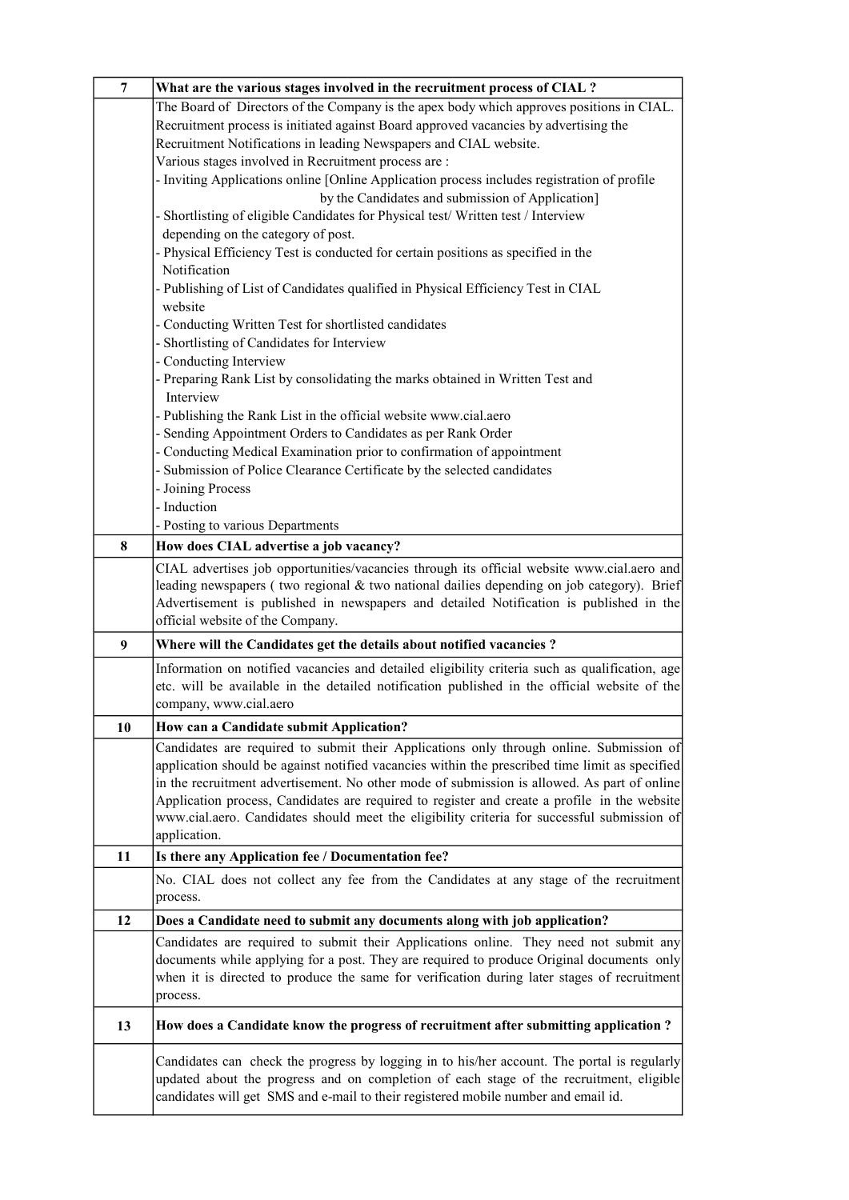| $\overline{7}$ | What are the various stages involved in the recruitment process of CIAL ?                                                                                                                     |
|----------------|-----------------------------------------------------------------------------------------------------------------------------------------------------------------------------------------------|
|                | The Board of Directors of the Company is the apex body which approves positions in CIAL.                                                                                                      |
|                | Recruitment process is initiated against Board approved vacancies by advertising the                                                                                                          |
|                | Recruitment Notifications in leading Newspapers and CIAL website.                                                                                                                             |
|                | Various stages involved in Recruitment process are :                                                                                                                                          |
|                | - Inviting Applications online [Online Application process includes registration of profile                                                                                                   |
|                | by the Candidates and submission of Application]                                                                                                                                              |
|                | - Shortlisting of eligible Candidates for Physical test/ Written test / Interview                                                                                                             |
|                | depending on the category of post.                                                                                                                                                            |
|                | - Physical Efficiency Test is conducted for certain positions as specified in the                                                                                                             |
|                | Notification                                                                                                                                                                                  |
|                | - Publishing of List of Candidates qualified in Physical Efficiency Test in CIAL                                                                                                              |
|                | website                                                                                                                                                                                       |
|                | - Conducting Written Test for shortlisted candidates                                                                                                                                          |
|                | - Shortlisting of Candidates for Interview                                                                                                                                                    |
|                | - Conducting Interview                                                                                                                                                                        |
|                | - Preparing Rank List by consolidating the marks obtained in Written Test and<br>Interview                                                                                                    |
|                | - Publishing the Rank List in the official website www.cial.aero                                                                                                                              |
|                | - Sending Appointment Orders to Candidates as per Rank Order                                                                                                                                  |
|                | - Conducting Medical Examination prior to confirmation of appointment                                                                                                                         |
|                | - Submission of Police Clearance Certificate by the selected candidates                                                                                                                       |
|                | - Joining Process                                                                                                                                                                             |
|                | - Induction                                                                                                                                                                                   |
|                | - Posting to various Departments                                                                                                                                                              |
| 8              | How does CIAL advertise a job vacancy?                                                                                                                                                        |
|                | CIAL advertises job opportunities/vacancies through its official website www.cial.aero and                                                                                                    |
|                | leading newspapers (two regional & two national dailies depending on job category). Brief                                                                                                     |
|                | Advertisement is published in newspapers and detailed Notification is published in the                                                                                                        |
|                | official website of the Company.                                                                                                                                                              |
| 9              | Where will the Candidates get the details about notified vacancies?                                                                                                                           |
|                | Information on notified vacancies and detailed eligibility criteria such as qualification, age                                                                                                |
|                | etc. will be available in the detailed notification published in the official website of the                                                                                                  |
|                | company, www.cial.aero                                                                                                                                                                        |
| 10             | How can a Candidate submit Application?                                                                                                                                                       |
|                |                                                                                                                                                                                               |
|                | Candidates are required to submit their Applications only through online. Submission of                                                                                                       |
|                | application should be against notified vacancies within the prescribed time limit as specified<br>in the recruitment advertisement. No other mode of submission is allowed. As part of online |
|                | Application process, Candidates are required to register and create a profile in the website                                                                                                  |
|                | www.cial.aero. Candidates should meet the eligibility criteria for successful submission of                                                                                                   |
|                | application.                                                                                                                                                                                  |
| 11             | Is there any Application fee / Documentation fee?                                                                                                                                             |
|                | No. CIAL does not collect any fee from the Candidates at any stage of the recruitment                                                                                                         |
|                | process.                                                                                                                                                                                      |
| 12             | Does a Candidate need to submit any documents along with job application?                                                                                                                     |
|                | Candidates are required to submit their Applications online. They need not submit any                                                                                                         |
|                | documents while applying for a post. They are required to produce Original documents only                                                                                                     |
|                | when it is directed to produce the same for verification during later stages of recruitment                                                                                                   |
|                | process.                                                                                                                                                                                      |
| 13             | How does a Candidate know the progress of recruitment after submitting application?                                                                                                           |
|                |                                                                                                                                                                                               |
|                | Candidates can check the progress by logging in to his/her account. The portal is regularly<br>updated about the progress and on completion of each stage of the recruitment, eligible        |
|                | candidates will get SMS and e-mail to their registered mobile number and email id.                                                                                                            |
|                |                                                                                                                                                                                               |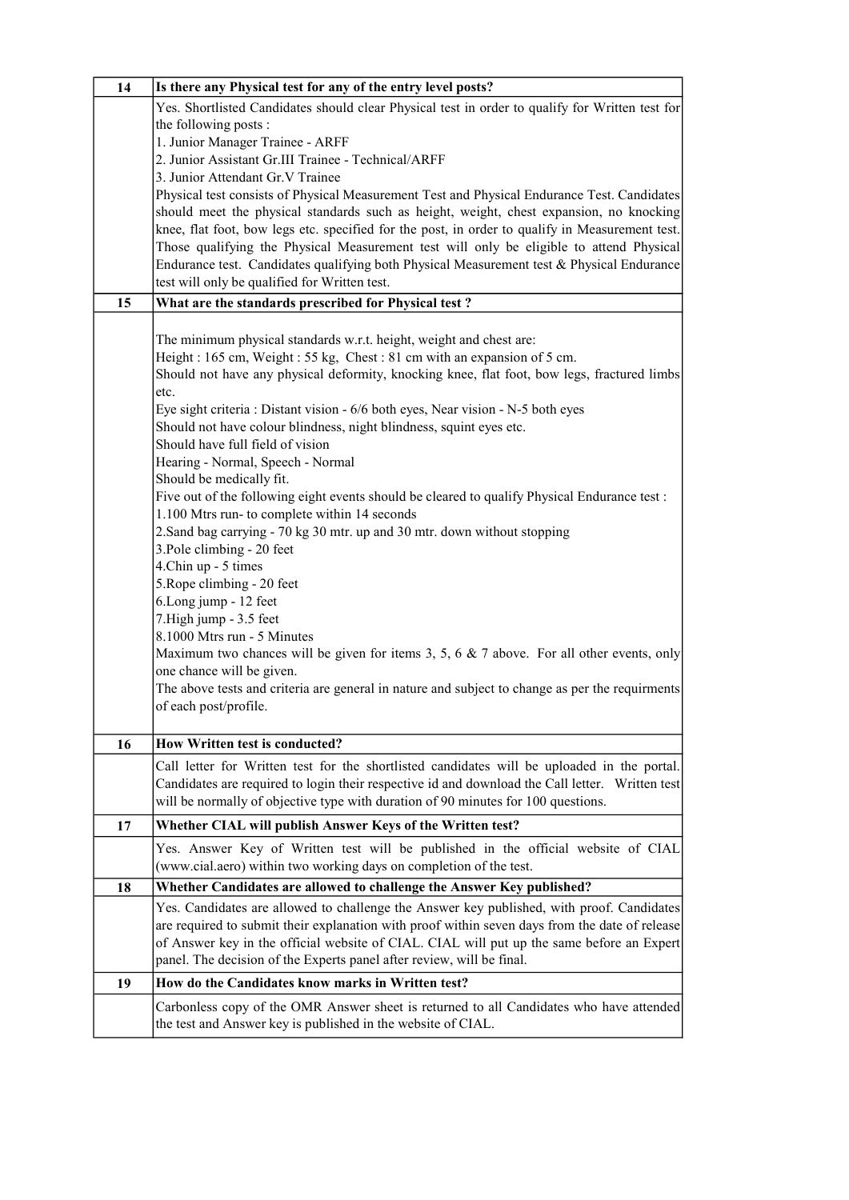| 14 | Is there any Physical test for any of the entry level posts?                                    |
|----|-------------------------------------------------------------------------------------------------|
|    | Yes. Shortlisted Candidates should clear Physical test in order to qualify for Written test for |
|    | the following posts:                                                                            |
|    | 1. Junior Manager Trainee - ARFF                                                                |
|    | 2. Junior Assistant Gr.III Trainee - Technical/ARFF                                             |
|    | 3. Junior Attendant Gr.V Trainee                                                                |
|    | Physical test consists of Physical Measurement Test and Physical Endurance Test. Candidates     |
|    | should meet the physical standards such as height, weight, chest expansion, no knocking         |
|    | knee, flat foot, bow legs etc. specified for the post, in order to qualify in Measurement test. |
|    | Those qualifying the Physical Measurement test will only be eligible to attend Physical         |
|    | Endurance test. Candidates qualifying both Physical Measurement test & Physical Endurance       |
|    | test will only be qualified for Written test.                                                   |
| 15 | What are the standards prescribed for Physical test?                                            |
|    |                                                                                                 |
|    | The minimum physical standards w.r.t. height, weight and chest are:                             |
|    | Height: 165 cm, Weight: 55 kg, Chest: 81 cm with an expansion of 5 cm.                          |
|    | Should not have any physical deformity, knocking knee, flat foot, bow legs, fractured limbs     |
|    | etc.                                                                                            |
|    | Eye sight criteria : Distant vision - 6/6 both eyes, Near vision - N-5 both eyes                |
|    | Should not have colour blindness, night blindness, squint eyes etc.                             |
|    | Should have full field of vision                                                                |
|    | Hearing - Normal, Speech - Normal                                                               |
|    | Should be medically fit.                                                                        |
|    | Five out of the following eight events should be cleared to qualify Physical Endurance test :   |
|    | 1.100 Mtrs run- to complete within 14 seconds                                                   |
|    | 2. Sand bag carrying - 70 kg 30 mtr. up and 30 mtr. down without stopping                       |
|    | 3. Pole climbing - 20 feet                                                                      |
|    | 4.Chin up - 5 times                                                                             |
|    | 5. Rope climbing - 20 feet                                                                      |
|    | 6.Long jump - 12 feet                                                                           |
|    | 7. High jump - 3.5 feet                                                                         |
|    | 8.1000 Mtrs run - 5 Minutes                                                                     |
|    | Maximum two chances will be given for items 3, 5, 6 $\&$ 7 above. For all other events, only    |
|    | one chance will be given.                                                                       |
|    | The above tests and criteria are general in nature and subject to change as per the requirments |
|    | of each post/profile.                                                                           |
| 16 | <b>How Written test is conducted?</b>                                                           |
|    | Call letter for Written test for the shortlisted candidates will be uploaded in the portal.     |
|    | Candidates are required to login their respective id and download the Call letter. Written test |
|    | will be normally of objective type with duration of 90 minutes for 100 questions.               |
|    |                                                                                                 |
| 17 | Whether CIAL will publish Answer Keys of the Written test?                                      |
|    | Yes. Answer Key of Written test will be published in the official website of CIAL               |
|    | (www.cial.aero) within two working days on completion of the test.                              |
| 18 | Whether Candidates are allowed to challenge the Answer Key published?                           |
|    | Yes. Candidates are allowed to challenge the Answer key published, with proof. Candidates       |
|    | are required to submit their explanation with proof within seven days from the date of release  |
|    | of Answer key in the official website of CIAL. CIAL will put up the same before an Expert       |
|    | panel. The decision of the Experts panel after review, will be final.                           |
| 19 | How do the Candidates know marks in Written test?                                               |
|    | Carbonless copy of the OMR Answer sheet is returned to all Candidates who have attended         |
|    | the test and Answer key is published in the website of CIAL.                                    |